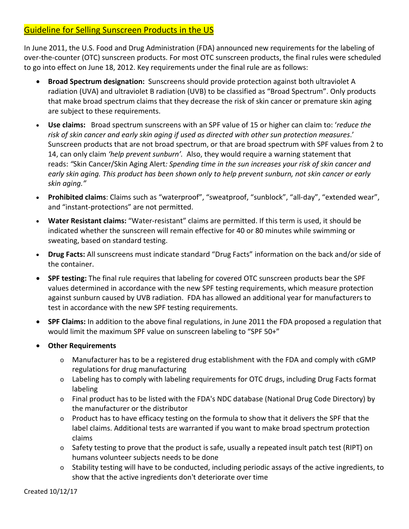## Guideline for Selling Sunscreen Products in the US

In June 2011, the U.S. Food and Drug Administration (FDA) announced new requirements for the labeling of over-the-counter (OTC) sunscreen products. For most OTC sunscreen products, the final rules were scheduled to go into effect on June 18, 2012. Key requirements under the final rule are as follows:

- **Broad Spectrum designation:** Sunscreens should provide protection against both ultraviolet A radiation (UVA) and ultraviolet B radiation (UVB) to be classified as "Broad Spectrum". Only products that make broad spectrum claims that they decrease the risk of skin cancer or premature skin aging are subject to these requirements.
- **Use claims:** Broad spectrum sunscreens with an SPF value of 15 or higher can claim to: '*reduce the risk of skin cancer and early skin aging if used as directed with other sun protection measures*.' Sunscreen products that are not broad spectrum, or that are broad spectrum with SPF values from 2 to 14, can only claim *'help prevent sunburn'.* Also, they would require a warning statement that reads: *"*Skin Cancer/Skin Aging Alert*: Spending time in the sun increases your risk of skin cancer and early skin aging. This product has been shown only to help prevent sunburn, not skin cancer or early skin aging."*
- **Prohibited claims**: Claims such as "waterproof", "sweatproof, "sunblock", "all-day", "extended wear", and "instant-protections" are not permitted.
- **Water Resistant claims:** "Water-resistant" claims are permitted. If this term is used, it should be indicated whether the sunscreen will remain effective for 40 or 80 minutes while swimming or sweating, based on standard testing.
- **Drug Facts:** All sunscreens must indicate standard "Drug Facts" information on the back and/or side of the container.
- **SPF testing:** The final rule requires that labeling for covered OTC sunscreen products bear the SPF values determined in accordance with the new SPF testing requirements, which measure protection against sunburn caused by UVB radiation. FDA has allowed an additional year for manufacturers to test in accordance with the new SPF testing requirements.
- **SPF Claims:** In addition to the above final regulations, in June 2011 the FDA proposed a regulation that would limit the maximum SPF value on sunscreen labeling to "SPF 50+"
- **Other Requirements**
	- o Manufacturer has to be a registered drug establishment with the FDA and comply with cGMP regulations for drug manufacturing
	- o Labeling has to comply with labeling requirements for OTC drugs, including Drug Facts format labeling
	- $\circ$  Final product has to be listed with the FDA's NDC database (National Drug Code Directory) by the manufacturer or the distributor
	- o Product has to have efficacy testing on the formula to show that it delivers the SPF that the label claims. Additional tests are warranted if you want to make broad spectrum protection claims
	- o Safety testing to prove that the product is safe, usually a repeated insult patch test (RIPT) on humans volunteer subjects needs to be done
	- o Stability testing will have to be conducted, including periodic assays of the active ingredients, to show that the active ingredients don't deteriorate over time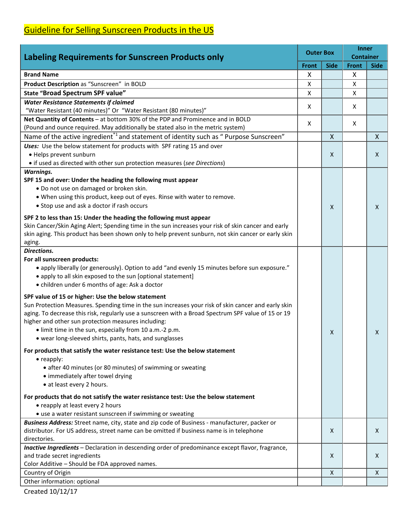## Guideline for Selling Sunscreen Products in the US

| <b>Labeling Requirements for Sunscreen Products only</b>                                            | <b>Outer Box</b> |              | <b>Inner</b><br><b>Container</b> |              |
|-----------------------------------------------------------------------------------------------------|------------------|--------------|----------------------------------|--------------|
|                                                                                                     |                  | <b>Side</b>  | <b>Front</b>                     | <b>Side</b>  |
| <b>Brand Name</b>                                                                                   | X                |              | X                                |              |
| Product Description as "Sunscreen" in BOLD                                                          | X                |              | X                                |              |
| State "Broad Spectrum SPF value"                                                                    | X                |              | X                                |              |
| <b>Water Resistance Statements if claimed</b>                                                       |                  |              |                                  |              |
| "Water Resistant (40 minutes)" Or "Water Resistant (80 minutes)"                                    | X                |              | X                                |              |
| Net Quantity of Contents - at bottom 30% of the PDP and Prominence and in BOLD                      |                  |              |                                  |              |
| (Pound and ounce required. May additionally be stated also in the metric system)                    | X                |              | X                                |              |
| Name of the active ingredient <sup>*1</sup> and statement of identity such as " Purpose Sunscreen"  |                  | $\mathsf{X}$ |                                  | $\mathsf{X}$ |
| Uses: Use the below statement for products with SPF rating 15 and over                              |                  |              |                                  |              |
| • Helps prevent sunburn                                                                             |                  | X            |                                  | X            |
| • if used as directed with other sun protection measures (see Directions)                           |                  |              |                                  |              |
| <b>Warnings.</b>                                                                                    |                  |              |                                  |              |
| SPF 15 and over: Under the heading the following must appear                                        |                  |              |                                  |              |
| . Do not use on damaged or broken skin.                                                             |                  |              |                                  |              |
| . When using this product, keep out of eyes. Rinse with water to remove.                            |                  |              |                                  |              |
| • Stop use and ask a doctor if rash occurs                                                          |                  |              |                                  |              |
|                                                                                                     |                  | $\mathsf{x}$ |                                  | X            |
| SPF 2 to less than 15: Under the heading the following must appear                                  |                  |              |                                  |              |
| Skin Cancer/Skin Aging Alert; Spending time in the sun increases your risk of skin cancer and early |                  |              |                                  |              |
| skin aging. This product has been shown only to help prevent sunburn, not skin cancer or early skin |                  |              |                                  |              |
| aging.                                                                                              |                  |              |                                  |              |
| Directions.                                                                                         |                  |              |                                  |              |
| For all sunscreen products:                                                                         |                  |              |                                  |              |
| • apply liberally (or generously). Option to add "and evenly 15 minutes before sun exposure."       |                  |              |                                  |              |
| • apply to all skin exposed to the sun [optional statement]                                         |                  |              |                                  |              |
| • children under 6 months of age: Ask a doctor                                                      |                  |              |                                  |              |
| SPF value of 15 or higher: Use the below statement                                                  |                  |              |                                  |              |
| Sun Protection Measures. Spending time in the sun increases your risk of skin cancer and early skin |                  |              |                                  |              |
| aging. To decrease this risk, regularly use a sunscreen with a Broad Spectrum SPF value of 15 or 19 |                  |              |                                  |              |
| higher and other sun protection measures including:                                                 |                  |              |                                  |              |
| • limit time in the sun, especially from 10 a.m.-2 p.m.                                             |                  | X            |                                  | X            |
| • wear long-sleeved shirts, pants, hats, and sunglasses                                             |                  |              |                                  |              |
| For products that satisfy the water resistance test: Use the below statement                        |                  |              |                                  |              |
| $\bullet$ reapply:                                                                                  |                  |              |                                  |              |
| • after 40 minutes (or 80 minutes) of swimming or sweating                                          |                  |              |                                  |              |
| • immediately after towel drying                                                                    |                  |              |                                  |              |
| • at least every 2 hours.                                                                           |                  |              |                                  |              |
|                                                                                                     |                  |              |                                  |              |
| For products that do not satisfy the water resistance test: Use the below statement                 |                  |              |                                  |              |
| • reapply at least every 2 hours                                                                    |                  |              |                                  |              |
| • use a water resistant sunscreen if swimming or sweating                                           |                  |              |                                  |              |
| Business Address: Street name, city, state and zip code of Business - manufacturer, packer or       |                  |              |                                  |              |
| distributor. For US address, street name can be omitted if business name is in telephone            |                  | X            |                                  | X            |
| directories.                                                                                        |                  |              |                                  |              |
| Inactive Ingredients - Declaration in descending order of predominance except flavor, fragrance,    |                  |              |                                  |              |
| and trade secret ingredients                                                                        |                  | X            |                                  | X            |
| Color Additive - Should be FDA approved names.                                                      |                  |              |                                  |              |
| Country of Origin                                                                                   |                  | X            |                                  | $\mathsf{X}$ |
| Other information: optional                                                                         |                  |              |                                  |              |

Created 10/12/17